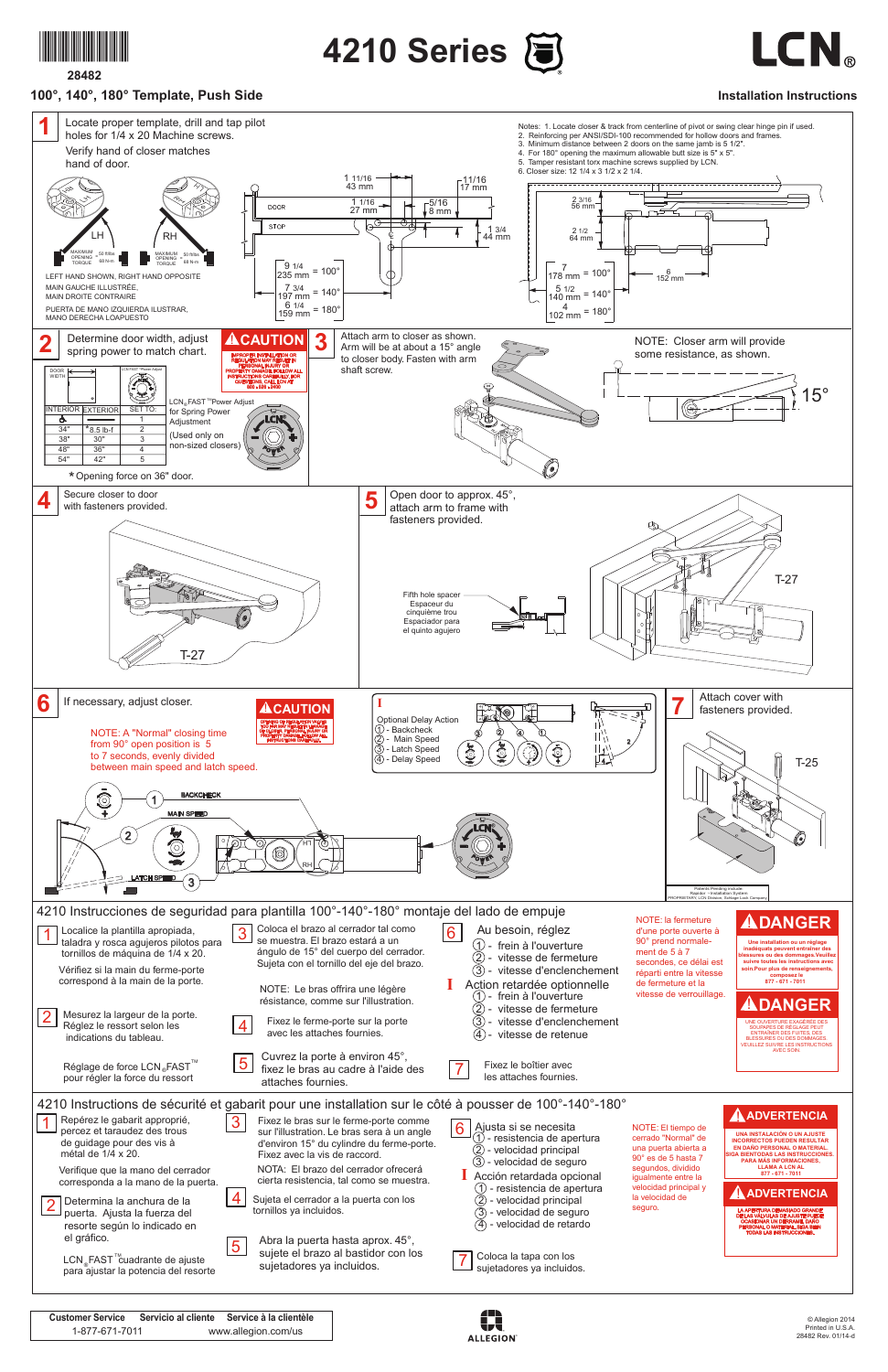

**28482**

## **100°, 140°, 180° Template, Push Side**

**4210 Series**



**Installation Instructions**